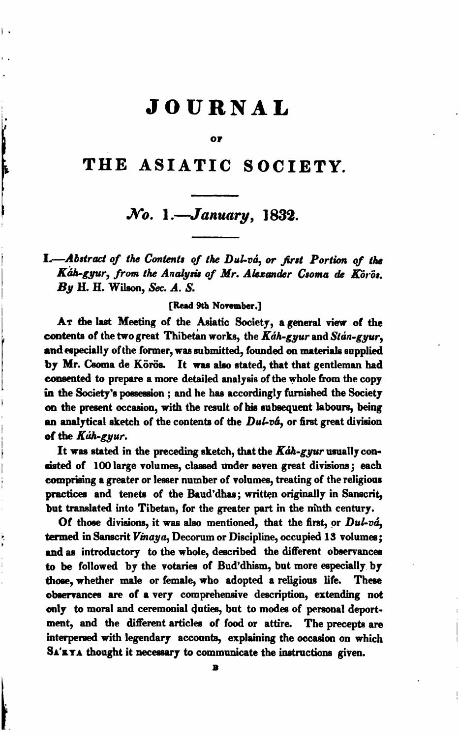# **JOURNAL**

Ι.

è

#### **OF**

## **THE ASIATIC SOCIETY.**

## *No.* **I** *.--January,* **1832.**

1.-Abstract of the Contents of the Dul-va, or first Portion of the Káh-gyur, from the Analysis of Mr. Alexander Csoma de Körös. By **H.** H. Wileon, **Sec.** A. **S.** 

[Red **9th November.]** 

AT the last Meeting of the Asiatic Society, a general view of the contents of the two great Thibetan works, the  $Kdh$ -gyur and Stan-gyur, and especially of the former, was submitted, founded on materials supplied by Mr. Csoma de Körös. It was also stated, that that gentleman had consented to prepare a more detailed analysis of the whole from the copy in the Society's possession ; and he has accordingly furnished the Society on the present occasion, with the result of his subsequent labours, being an analytical sketch of the contents of the Dul-vá, or first great division of the **Kuh-gyur**.

It was stated in the preceding sketch, that the  $Kdh$ -gyur usually coneisted of 100 large volumes, classed under seven great divisions; each comprising a greater or lesser number of volumes, treating of the religious practices and tenets of the Baud'dhas; written originally in Sanscrit, but translated into Tibetan, for the greater part in the nihth century.

Of those divisions, it was also mentioned, that the first, or Dul-vá, termed in Sanscrit Vinaya, Decorum or Discipline, occupied 13 volumes; and as introductory to the whole, described the different observances to be followed by the votariee of Bud'dhism, but more especially, by those, whether male or female, who adopted a religious life. These obeervances are of a very comprehensive description, extending not only **to** moral and ceremonial duties, but to **modes** of personal deportment, and the different articles of food or attire. The precepts are interpersed with legendary accounb, explaining the **occaaion** on which SA'KYA thought it necessary to communicate the instructions given.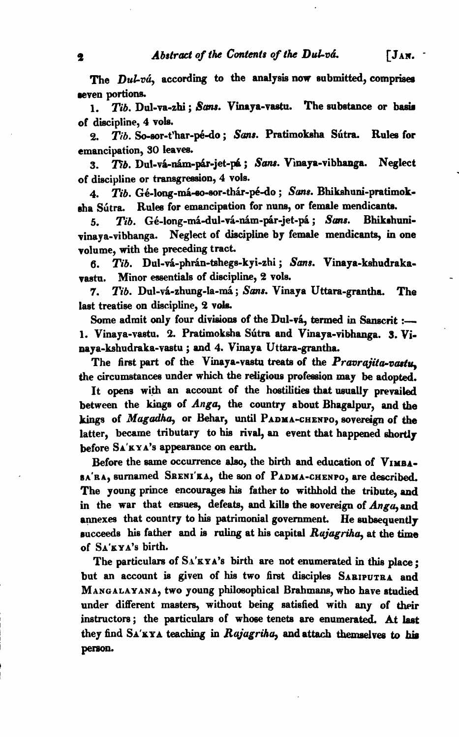The *Dul-vá*, according to the analysis now submitted, comprises seven portions.

1. *Tib.* Dul-va-zhi ; Sams. Vinaya-vastu. The substance or basis of discipline, 4 vole.

2. *Tib.* So-sor-t'har-pé-do; Sans. Pratimoksha Sútra. Rules for emancipation, 30 leaves.

3. *Th. Dul-va-nam-par-jet-pa; Sans. Vinaya-vibhanga. Neglect* of discipline or transgression, 4 vols.

4. *Tib.* Gé-long-má-so-sor-thár-pé-do ; Sans. Bhikshuni-pratimokeha Sútra. Rules for emancipation for nuns, or female mendicants.<br>5 Tib. Gé-long-má-dul-vá-nám-pár-jet-pá: Sans. Bhikshuni-

5. *Tib.* Gé-long-má-dul-vá-nám-pár-jet-pá ; Sans. vinaya-vibhanga. Neglect of discipline by female mendicants, in one volume, with the preceding tract.

**6.** *Tib.* **Dul-vhr-phh-tshegs-kyi-zhi** ; *Sans.* Vinaya-kehudrakavastu. Minor essentials of discipline, 2 vols.

7. *Tib.* Dul-vá-zhung-la-má; *Sans.* Vinaya Uttara-grantha. The laet treatise on discipline, **9** vala

Some admit only four divisions of the Dul-vá, termed in Sanscrit :-1. Vinaya-vastu. 2. Pratimoksha Sútra and Vinaya-vibhanga. 3. Vinaya-kshudraka-vastu; and 4. Vinaya Uttara-grantha.

The first part of the Vinaya-vastu treats of the  $Pra$ oraiita-vastu. the circumstances under which the religiouo profession may be adopted.

It opens with an account of the hostilities that usually prevailed between the kings of Anga, the country about Bhagalpur, and **the**  kings of *Mugadha*, or Behar, until PADMA-CHENPO, sovereign of the latter, became tributary to his rival, an event that happened shortly before SA'KYA's appearance on earth.

Before the same occurrence also, the birth and education of VIMBA-**EA'RA,** surnamed SRENI'KA, the son of PADMA-CHENPO, are described, The young prince encourages his father to withhold the tribute, and in the war that ensues, defeats, and kills the sovereign of Angu, and annexes that country to his patrimonial government. He subsequently rucceeds his father and is ruling at his capital *Rqjugrilra,* at the **time**  of SA'KY A'S birth.

The particulars of  $S_A'KYA's$  birth are not enumerated in this place: but an account is given of his two first disciples SABIPUTRA and MANGALAYANA, two young philoeophical Brahmane, who have studied under different masters, without being satisfied with any of their instructors; the particulars of whose tenets are enumerated. At last they find SA'KYA teaching in *Rajagriha*, and attach themselves to his person.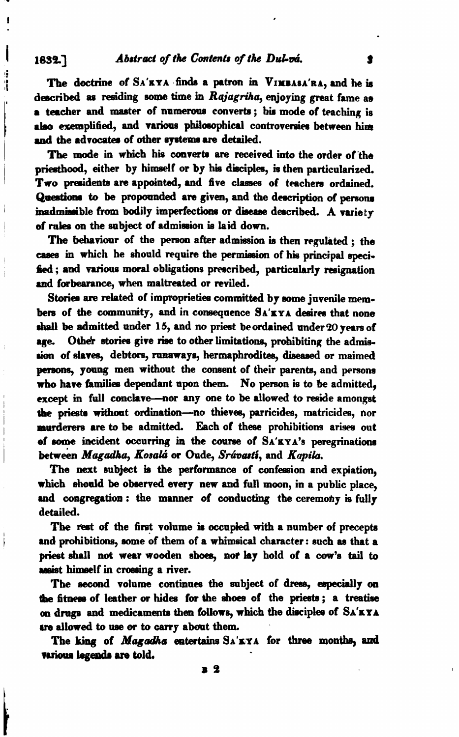### Abstract of the Contents of the Dul-vá.

1632.7

J.

Ì

j

The doctrine of SA'RYA finds a patron in VIMBASA'RA, and he is described as residing some time in Rajagriha, enjoying great fame as a teacher and master of numerous converts; his mode of teaching is also exemplified, and various philosophical controversies between him and the advocates of other systems are detailed.

The mode in which his converts are received into the order of the priesthood, either by himself or by his disciples, is then particularized. Two presidents are appointed, and five classes of teachers ordained. Questions to be propounded are given, and the description of persons inadmissible from bodily imperfections or disease described. A variety of rales on the subject of admission is laid down.

The behaviour of the person after admission is then regulated : the cases in which he should require the permission of his principal specified: and various moral obligations prescribed, particularly resignation and forbearance, when maltreated or reviled.

Stories are related of improprieties committed by some juvenile members of the community, and in consequence SA'EYA desires that none shall be admitted under 15, and no priest be ordained under 20 years of Other stories give rise to other limitations, prohibiting the admisare. sion of slaves, debtors, runaways, hermaphrodites, diseased or maimed persons, young men without the consent of their parents, and persons who have families dependant upon them. No person is to be admitted, except in full conclave-nor any one to be allowed to reside amongst the priests without ordination-no thieves, parricides, matricides, nor murderers are to be admitted. Each of these prohibitions arises out of some incident occurring in the course of  $S_A' RYA'$ s peregrinations between Magadha, Kosalá or Oude, Srávastí, and Kapila.

The next subject is the performance of confession and expiation. which should be observed every new and full moon, in a public place, and congregation: the manner of conducting the ceremony is fully detailed.

The rest of the first volume is occupied with a number of precepts and prohibitions, some of them of a whimsical character: such as that a priest shall not wear wooden shoes, nor lay hold of a cow's tail to assist himself in crossing a river.

The second volume continues the subject of dress, especially on the fitness of leather or hides for the shoes of the priests; a treatise on drugs and medicaments then follows, which the disciples of SA'KYA are allowed to use or to carry about them.

The king of *Magadha* entertains SA'EYA for three months, and various legends are told.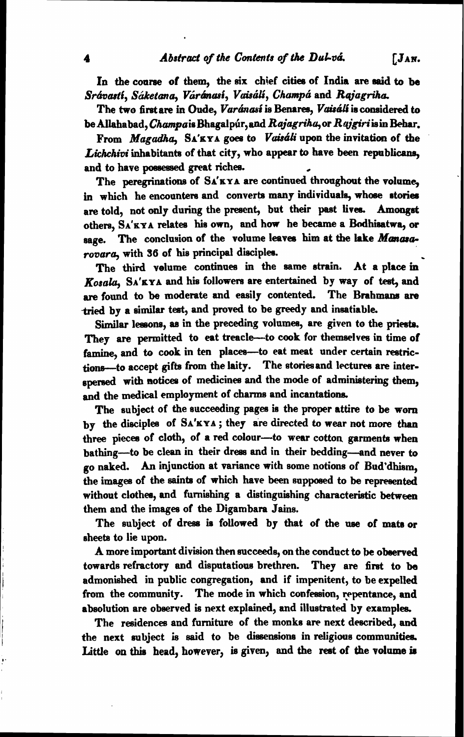In the course of them, the six chief cities of India are said to be Srávastí, Sáketana, Váránasí, Vaisálí, Champá and *Rajagriha*,

The two first are in Oude, *Varánasí* is Benares, *Vaisálí* is considered to be Allahabad, Champais Bhagalpur, and Rajagriha, or Rajgiri is in Behar.

From *Magudhu,* **SA'KYA** goea to *Vaiscfli* upon the invitation of the Lichchioi inhabitants of that city, who appear to have been republicans, and to have possessed great riches. I he two first are in Oude, *Varanass* is benares, *Varian* is considered to<br>be Allahabad, *Champa* is Bhagalpúr, and *Rajagriha*, or *Rajgiri* is in Behar.<br>From *Magadha*, SA'XYA goes to *Vaisáli* upon the invitation of t

in which he encounters and converts many individuals, whose stories are told, not only during the present, but their past lives. Amongst others. SA'KYA relates his own, and how he became a Bodhisatwa, or sage. The conclusion of the volume leaves him at the lake *Manasa*-*+oaara,* with **36** of his principal discipla.

The third velume continues in the same strain. At a place in Kosa&, **SA'KYA** and his followern are entertained by way of **teet,** and are found to be moderate and easily contented. The Brahmans are tried by a similar test, and proved to be greedy and insatiable.

Similar lessons, as in the preceding volumes, are given to the priests. They are permitted to eat treacle-to cook for themselves in time of famine, and to cook in ten places-to eat meat under certain restrictions-to accept gifts from the laity. The stories and lectures are interspersed with notices of medicines and the mode of administering them, and the medical employment of charms and incantations.

The subject of the succeeding pages **is** the proper attire to be worn by the dieciplea of **SA'KYA** ; they are directed to wear not more than three piecea of cloth, of a **red** colour-to wear cotton garmente when bathing-to be clean in their dress and in their bedding-and never to go naked. An injunction at variance with some notions of Bud'dhism. the images of the saints of which have been supposed to be represented without clothes, and furnishing a distinguishing characteristic between them and the images of the Digambara **Jaine.** 

The subject of dress is followed by that of the use of mats or sheeta to lie upon.

A more important division then eucceeds, on the conduct to **be** observed towards refractory and disputatious brethren. They are first to **be**  admonished in public congregation, and if impenitent, to be expelled from the community. The mode in which confession, repentance, and absolution are observed is next explained, and illustrated by examples.

The residences and furniture of the monks are next described, and the next subject is said to be dissensions in religious communities. Little on this head, however, is given, and the rest of the volume is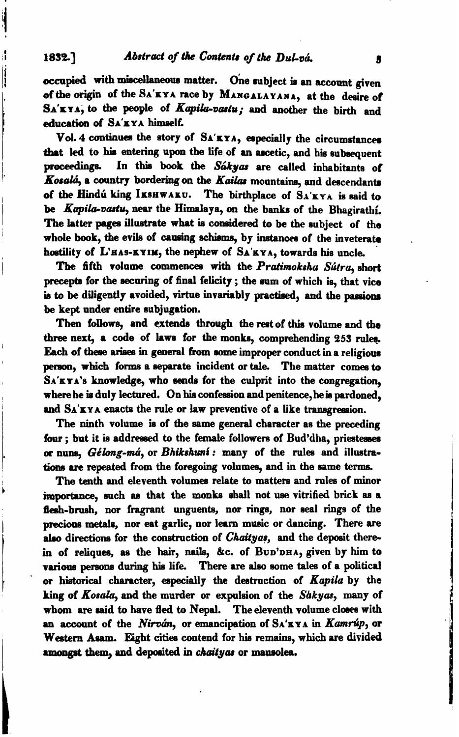1832.] **Abstract of the Contents of the Dul-va.** 

**occupied** with miecellaneow matter. one subject **ir** an acwnnt given of the origin of the SA'KYA race by MANGALAYANA, at the desire of SA'KYA, to the people of Kapika-vastu; and another the birth and **education** of SA'KYA himself.

Vol. 4 continues the story of SA'KYA, especially the circumstances that led to his entering upon the life of an ascetic, and his subsequent proceedings. In this book the Sakyas are called inhabitants of Kosalá, a country bordering on the Kailas mountains, and descendants of the Hindú king IKSHWAKU. The birthplace of SA'KYA is said to be Kapila-vastu, near the Himalaya, on the banks of the Bhagirathi. The latter pages illustrate what is considered to be the subject of the whole book, the evils of causing schisms, by instances of the inveterate hostility of L'HAS-KYIM, the nephew of SA'KYA, towards his uncle.

The fifth volume commences with the Pratimoksha Sutra, short precepts for the securing of final felicity ; the sum of which is, that vice is to be diligently avoided, virtue invariably practised, and the passions be kept under entire subjugation.

Then fdlowe, and **extends** through the reat of this volume and the three next, a code of laws for the monks, comprehending 253 rules. Each of these arises in general from some improper conduct in a religious person. which forms a separate incident or tale. The matter comes to SA'KYA'S knowledge, who **rends** for the culprit into the congregation, where he is duly lectured. On his confession and penitence, he is pardoned. and SA'KYA enacts the rule or law preventive of a like transgression.

The ninth volume is of the same general character as the preceding four ; but it is addressed to the female followers of Bud'dha, priestesses **or** nune, *Gdlong-mti,* or **Bhikdwf** : **many** of the rules and illustrations are repeated from the foregoing volumes, and in the same terms.

The tenth and eleventh volumes relate to matters and rules of minor importance, such as that the monks shall not use vitrified brick as a flesh-brush, nor fragrant unguents, nor rings, nor seal rings of the precious metals, nor eat garlic, nor learn music or dancing. There are also directions for the construction of *Chaityas*, and the deposit therein of reliques, as the hair, nails, &c. of BUD'DHA, given by him to **various** persons during his life. There are also some tales of a political or historical character, especially the destruction of Kapila by the king of Kosala, and the murder or expulsion of the **Shkyas,** many of whom are said to have fled to Nepal. The eleventh volume closes with **an** account of the **Nirob,** or emancipation of SA'XYA **in** *Kamrtip,* or Western Asam. Eight cities contend for his remains, which are divided amongst them, and deposited in *chaityas* or mausolea.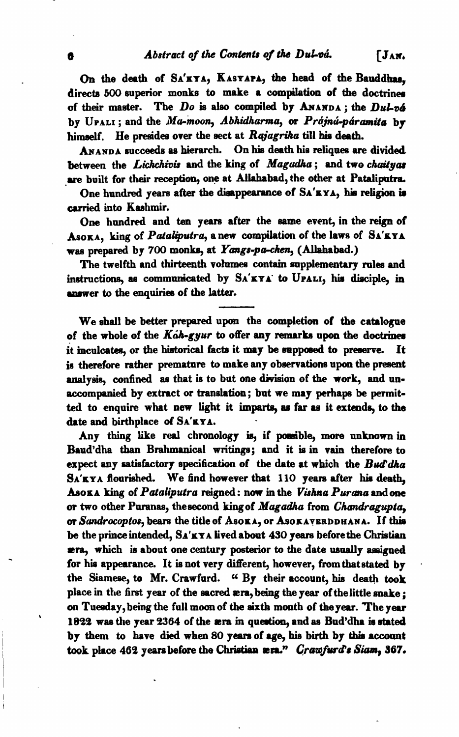**On** the death of SA'KYA, KASYAPA, the head of the Bauddham, directs 500 superior monks to make a compilation of the doctrines of their master. The  $Do$  is also compiled by ANANDA; the  $DuL\nabla\phi$ by UPALI; and the Ma-moon, Abhidharma, or Prájnú-páramita by himself. He presides over the sect at Rajagriha till his death.

~ANDA succeeds **aa** hierarch. On hie death his reliquee are divided between the *Lichchivis* and the king of Magadha; and two *chaityas* are built for their reception, one at Allahabad, the other at Pataliputra.

One hundred years after the disappearance of SA'XYA, his religion is carried into Kashmir.

One hundred and ten years after the same event, in the reign of ASOKA, king of Pataliputra, a new compilation of the laws of SA'KYA was prepared by 700 monks, at Yangs-pa-chen, (Allahabad.)

The twelfth and thirteenth volnmea contsin supplementary **rales** and instructions, as communicated by SA'KYA to UPALI, his disciple, in answer to the enquiries of the latter.

We shall be better prepared upon the completion of the catalogue of the whole of the  $K\hat{\alpha}h$ -gyur to offer any remarks upon the doctrines it inculcates, or the historical facts it may be supposed to preserve. It is therefore rather premature to make any observations upon the present analysis, confined as that is to but one division of the work, and unaccompanied by extract or translation; but we may perhapa be permitted to enquire what new light it imparts, as far as it extends, to the date and birthplace of SA'KYA.

Any thing like real chronology **is,** if powible, more unknown in Baud'dha than Brahmanical writings; and it **is** in vain therefore to expect any satisfactory specification of the date at which the  $B\omega d\phi d\phi$ SA'KYA flourished. We find however that **110** yeare after **hia** death, ~OKA king of Pdaliputra reigned: now in the **Vichna** Purcna andone **or** two other Pwanas, theeecond kingof Magadha from Chandragupta, or Sandrocoptos, bears the title of AsokA, or AsokAVERDDHANA. If this be the prince intended,  $S_A'KYA$  lived about 430 years before the Christian **era,** which is about one century posterior to the date usually aeaigned for his appearance. It **ie** not very different, however, fromthatstated by . the Siameee, to Mr. Crawfurd. **6'** By their account, **his** death **took**  place in the first year of the sacred **æra**, being the year of the little snake;<br>on Tuesday, being the full moon of the sixth month of the year. The year 1822 was the year 2364 of the **æra** in question, and as Bud'dha is stated by them to have died when 80 years of age, his birth by this account took place 462 years before the Christian  $x \cdot n$ ." *Crawfurd's Siam*, 367.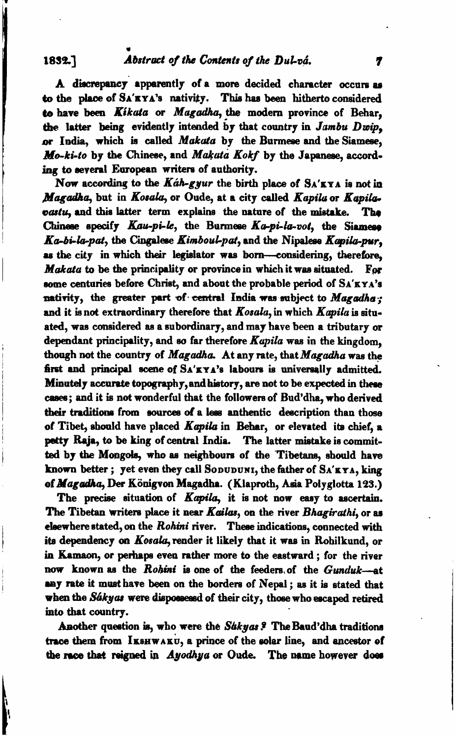### Abstract of the Contents of the Dul-vá.

1832.7

A discrepancy apparently of a more decided character occurs as to the place of SA'EYA's nativity. This has been hitherto considered to have been Kikata or Magadha, the modern province of Behar. the latter being evidently intended by that country in Jambu Dwip. or India, which is called Makata by the Burmese and the Siamese, Mo-ki-to by the Chinese, and Makata Kokf by the Japanese, according to several European writers of authority.

Now according to the Káh-gyur the birth place of  $S_A'$ <sub>KYA</sub> is not in Magadha, but in Kosala, or Oude, at a city called Kapila or Kapilapastu, and this latter term explains the nature of the mistake. The Chinese specify Kau-pi-le, the Burmese Ka-pi-la-vot, the Siamese Ka-bi-la-pat, the Cingalese Kimboul-pat, and the Nipalese Kapila-pur. as the city in which their legislator was born-considering, therefore, Makata to be the principality or province in which it was situated. For some centuries before Christ, and about the probable period of SA'KYA's nativity, the greater part of central India was subject to Magadha: and it is not extraordinary therefore that Kosala, in which Kapila is situated, was considered as a subordinary, and may have been a tributary or dependant principality, and so far therefore  $Kapila$  was in the kingdom. though not the country of Magadha. At any rate, that Magadha was the first and principal scene of SA'KYA's labours is universally admitted. Minutely accurate topography, and history, are not to be expected in these cases; and it is not wonderful that the followers of Bud'dha, who derived their traditions from sources of a less anthentic description than those of Tibet, should have placed Kapila in Behar, or elevated its chief, a petty Raja, to be king of central India. The latter mistake is committed by the Mongols, who as neighbours of the Tibetans, should have known better; yet even they call SODUDUNI, the father of SA'KYA, king of Magadha, Der Königvon Magadha. (Klaproth, Asia Polyglotta 123.)

The precise situation of Kapila, it is not now easy to ascertain. The Tibetan writers place it near Kailas, on the river Bhagirathi, or as elsewhere stated, on the Rohini river. These indications, connected with its dependency on Kosala, render it likely that it was in Rohilkund, or in Kamaon, or perhaps even rather more to the eastward; for the river now known as the Rohini is one of the feeders of the Gunduk-at any rate it must have been on the borders of Nepal; as it is stated that when the Sákyas were dispossessd of their city, those who escaped retired into that country.

Another question is, who were the Sakyas? The Baud'dha traditions trace them from IKSHWAKU, a prince of the solar line, and ancestor of the race that reigned in Ayodhya or Oude. The name however does

7